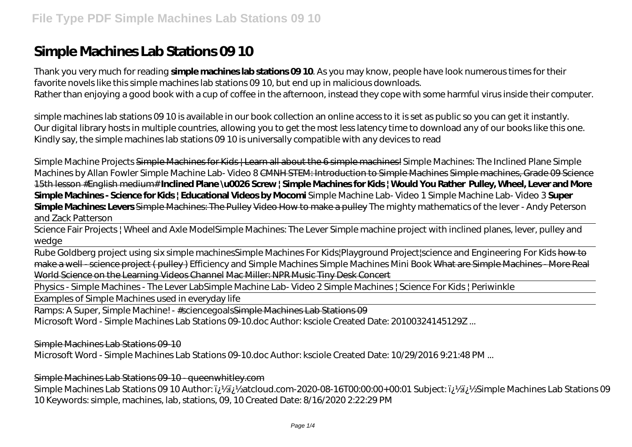# **Simple Machines Lab Stations 09 10**

Thank you very much for reading **simple machines lab stations 09 10**. As you may know, people have look numerous times for their favorite novels like this simple machines lab stations 09 10, but end up in malicious downloads. Rather than enjoying a good book with a cup of coffee in the afternoon, instead they cope with some harmful virus inside their computer.

simple machines lab stations 09 10 is available in our book collection an online access to it is set as public so you can get it instantly. Our digital library hosts in multiple countries, allowing you to get the most less latency time to download any of our books like this one. Kindly say, the simple machines lab stations 09 10 is universally compatible with any devices to read

*Simple Machine Projects* Simple Machines for Kids | Learn all about the 6 simple machines! Simple Machines: The Inclined Plane *Simple Machines by Allan Fowler Simple Machine Lab- Video 8* CMNH STEM: Introduction to Simple Machines Simple machines, Grade 09 Science 15th lesson #English medium# **Inclined Plane \u0026 Screw | Simple Machines for Kids | Would You Rather Pulley, Wheel, Lever and More Simple Machines - Science for Kids | Educational Videos by Mocomi** *Simple Machine Lab- Video 1* Simple Machine Lab- Video 3 **Super Simple Machines: Levers** Simple Machines: The Pulley Video How to make a pulley *The mighty mathematics of the lever - Andy Peterson and Zack Patterson*

Science Fair Projects | Wheel and Axle Model*Simple Machines: The Lever Simple machine project with inclined planes, lever, pulley and wedge*

Rube Goldberg project using six simple machines*Simple Machines For Kids|Playground Project|science and Engineering For Kids* how to make a well - science project ( pulley ) *Efficiency and Simple Machines Simple Machines Mini Book* What are Simple Machines - More Real World Science on the Learning Videos Channel Mac Miller: NPR Music Tiny Desk Concert

Physics - Simple Machines - The Lever Lab*Simple Machine Lab- Video 2 Simple Machines | Science For Kids | Periwinkle*

Examples of Simple Machines used in everyday life

Ramps: A Super, Simple Machine! - #sciencegoalsSimple Machines Lab Stations 09

Microsoft Word - Simple Machines Lab Stations 09-10.doc Author: ksciole Created Date: 20100324145129Z ...

Simple Machines Lab Stations 09-10

Microsoft Word - Simple Machines Lab Stations 09-10.doc Author: ksciole Created Date: 10/29/2016 9:21:48 PM ...

Simple Machines Lab Stations 09-10 - queenwhitley.com

Simple Machines Lab Stations 09 10 Author: لَا لِأَيْنَ 220-08-16TO0:00:00+00:01 Subject: فَإِيكَارِ 25 Simple Machines Lab Stations 09 10 Keywords: simple, machines, lab, stations, 09, 10 Created Date: 8/16/2020 2:22:29 PM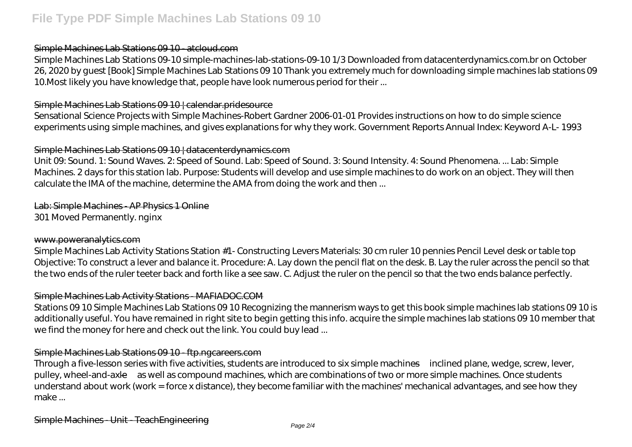#### Simple Machines Lab Stations 09 10 - atcloud.com

Simple Machines Lab Stations 09-10 simple-machines-lab-stations-09-10 1/3 Downloaded from datacenterdynamics.com.br on October 26, 2020 by guest [Book] Simple Machines Lab Stations 09 10 Thank you extremely much for downloading simple machines lab stations 09 10.Most likely you have knowledge that, people have look numerous period for their ...

#### Simple Machines Lab Stations 09 10 | calendar.pridesource

Sensational Science Projects with Simple Machines-Robert Gardner 2006-01-01 Provides instructions on how to do simple science experiments using simple machines, and gives explanations for why they work. Government Reports Annual Index: Keyword A-L- 1993

# Simple Machines Lab Stations 09 10 | datacenterdynamics.com

Unit 09: Sound. 1: Sound Waves. 2: Speed of Sound. Lab: Speed of Sound. 3: Sound Intensity. 4: Sound Phenomena. ... Lab: Simple Machines. 2 days for this station lab. Purpose: Students will develop and use simple machines to do work on an object. They will then calculate the IMA of the machine, determine the AMA from doing the work and then ...

# Lab: Simple Machines - AP Physics 1 Online

301 Moved Permanently. nginx

#### www.poweranalytics.com

Simple Machines Lab Activity Stations Station #1- Constructing Levers Materials: 30 cm ruler 10 pennies Pencil Level desk or table top Objective: To construct a lever and balance it. Procedure: A. Lay down the pencil flat on the desk. B. Lay the ruler across the pencil so that the two ends of the ruler teeter back and forth like a see saw. C. Adjust the ruler on the pencil so that the two ends balance perfectly.

# Simple Machines Lab Activity Stations - MAFIADOC.COM

Stations 09 10 Simple Machines Lab Stations 09 10 Recognizing the mannerism ways to get this book simple machines lab stations 09 10 is additionally useful. You have remained in right site to begin getting this info. acquire the simple machines lab stations 09 10 member that we find the money for here and check out the link. You could buy lead ...

# Simple Machines Lab Stations 09 10 - ftp.ngcareers.com

Through a five-lesson series with five activities, students are introduced to six simple machines—inclined plane, wedge, screw, lever, pulley, wheel-and-axle—as well as compound machines, which are combinations of two or more simple machines. Once students understand about work (work = force x distance), they become familiar with the machines' mechanical advantages, and see how they make ...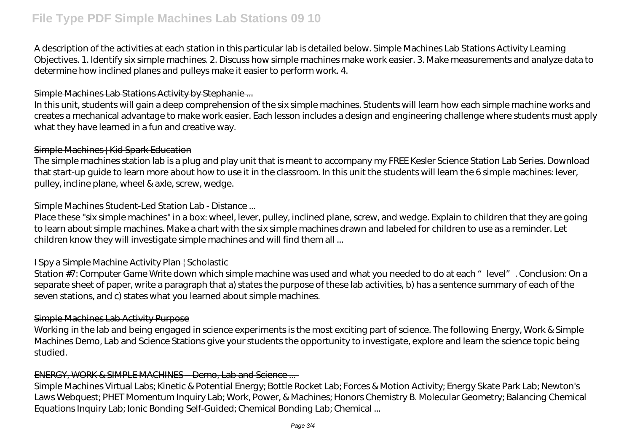A description of the activities at each station in this particular lab is detailed below. Simple Machines Lab Stations Activity Learning Objectives. 1. Identify six simple machines. 2. Discuss how simple machines make work easier. 3. Make measurements and analyze data to determine how inclined planes and pulleys make it easier to perform work. 4.

# Simple Machines Lab Stations Activity by Stephanie ...

In this unit, students will gain a deep comprehension of the six simple machines. Students will learn how each simple machine works and creates a mechanical advantage to make work easier. Each lesson includes a design and engineering challenge where students must apply what they have learned in a fun and creative way.

#### Simple Machines | Kid Spark Education

The simple machines station lab is a plug and play unit that is meant to accompany my FREE Kesler Science Station Lab Series. Download that start-up guide to learn more about how to use it in the classroom. In this unit the students will learn the 6 simple machines: lever, pulley, incline plane, wheel & axle, screw, wedge.

# Simple Machines Student-Led Station Lab - Distance ...

Place these "six simple machines" in a box: wheel, lever, pulley, inclined plane, screw, and wedge. Explain to children that they are going to learn about simple machines. Make a chart with the six simple machines drawn and labeled for children to use as a reminder. Let children know they will investigate simple machines and will find them all ...

# I Spy a Simple Machine Activity Plan | Scholastic

Station #7: Computer Game Write down which simple machine was used and what you needed to do at each "level". Conclusion: On a separate sheet of paper, write a paragraph that a) states the purpose of these lab activities, b) has a sentence summary of each of the seven stations, and c) states what you learned about simple machines.

# Simple Machines Lab Activity Purpose

Working in the lab and being engaged in science experiments is the most exciting part of science. The following Energy, Work & Simple Machines Demo, Lab and Science Stations give your students the opportunity to investigate, explore and learn the science topic being studied.

# ENERGY, WORK & SIMPLE MACHINES – Demo, Lab and Science ...

Simple Machines Virtual Labs; Kinetic & Potential Energy; Bottle Rocket Lab; Forces & Motion Activity; Energy Skate Park Lab; Newton's Laws Webquest; PHET Momentum Inquiry Lab; Work, Power, & Machines; Honors Chemistry B. Molecular Geometry; Balancing Chemical Equations Inquiry Lab; Ionic Bonding Self-Guided; Chemical Bonding Lab; Chemical ...